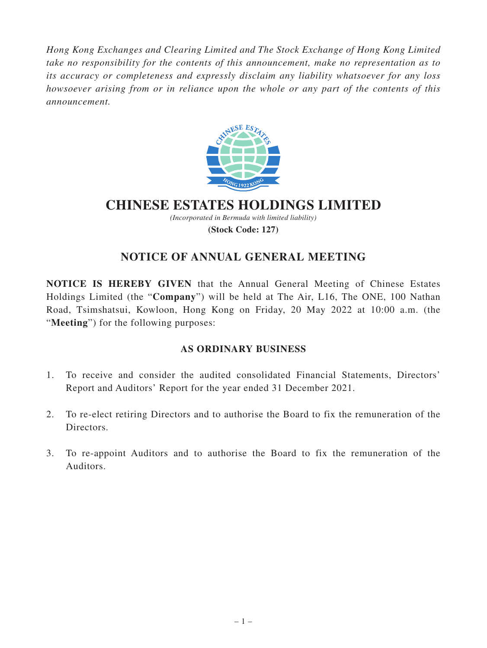*Hong Kong Exchanges and Clearing Limited and The Stock Exchange of Hong Kong Limited take no responsibility for the contents of this announcement, make no representation as to its accuracy or completeness and expressly disclaim any liability whatsoever for any loss howsoever arising from or in reliance upon the whole or any part of the contents of this announcement.*



# **CHINESE ESTATES HOLDINGS LIMITED**

*(Incorporated in Bermuda with limited liability)* **(Stock Code: 127)**

## **NOTICE OF ANNUAL GENERAL MEETING**

**NOTICE IS HEREBY GIVEN** that the Annual General Meeting of Chinese Estates Holdings Limited (the "**Company**") will be held at The Air, L16, The ONE, 100 Nathan Road, Tsimshatsui, Kowloon, Hong Kong on Friday, 20 May 2022 at 10:00 a.m. (the "**Meeting**") for the following purposes:

### **AS ORDINARY BUSINESS**

- 1. To receive and consider the audited consolidated Financial Statements, Directors' Report and Auditors' Report for the year ended 31 December 2021.
- 2. To re-elect retiring Directors and to authorise the Board to fix the remuneration of the Directors.
- 3. To re-appoint Auditors and to authorise the Board to fix the remuneration of the Auditors.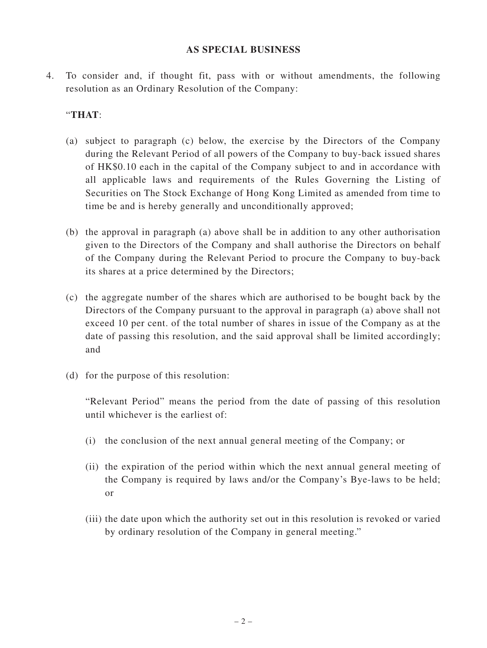#### **AS SPECIAL BUSINESS**

4. To consider and, if thought fit, pass with or without amendments, the following resolution as an Ordinary Resolution of the Company:

#### "**THAT**:

- (a) subject to paragraph (c) below, the exercise by the Directors of the Company during the Relevant Period of all powers of the Company to buy-back issued shares of HK\$0.10 each in the capital of the Company subject to and in accordance with all applicable laws and requirements of the Rules Governing the Listing of Securities on The Stock Exchange of Hong Kong Limited as amended from time to time be and is hereby generally and unconditionally approved;
- (b) the approval in paragraph (a) above shall be in addition to any other authorisation given to the Directors of the Company and shall authorise the Directors on behalf of the Company during the Relevant Period to procure the Company to buy-back its shares at a price determined by the Directors;
- (c) the aggregate number of the shares which are authorised to be bought back by the Directors of the Company pursuant to the approval in paragraph (a) above shall not exceed 10 per cent. of the total number of shares in issue of the Company as at the date of passing this resolution, and the said approval shall be limited accordingly; and
- (d) for the purpose of this resolution:

"Relevant Period" means the period from the date of passing of this resolution until whichever is the earliest of:

- (i) the conclusion of the next annual general meeting of the Company; or
- (ii) the expiration of the period within which the next annual general meeting of the Company is required by laws and/or the Company's Bye-laws to be held; or
- (iii) the date upon which the authority set out in this resolution is revoked or varied by ordinary resolution of the Company in general meeting."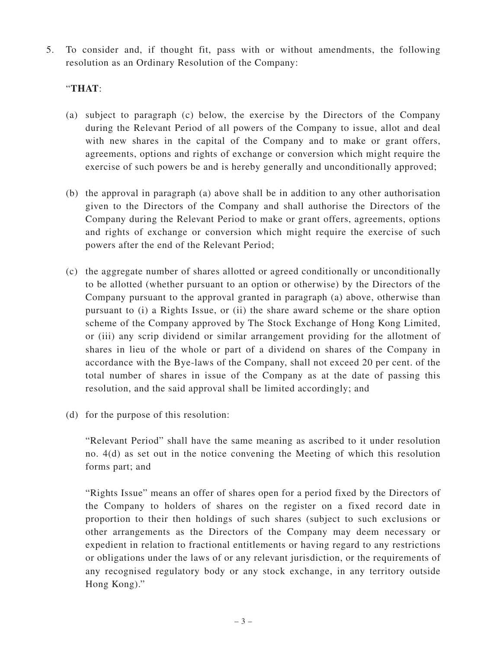5. To consider and, if thought fit, pass with or without amendments, the following resolution as an Ordinary Resolution of the Company:

#### "**THAT**:

- (a) subject to paragraph (c) below, the exercise by the Directors of the Company during the Relevant Period of all powers of the Company to issue, allot and deal with new shares in the capital of the Company and to make or grant offers, agreements, options and rights of exchange or conversion which might require the exercise of such powers be and is hereby generally and unconditionally approved;
- (b) the approval in paragraph (a) above shall be in addition to any other authorisation given to the Directors of the Company and shall authorise the Directors of the Company during the Relevant Period to make or grant offers, agreements, options and rights of exchange or conversion which might require the exercise of such powers after the end of the Relevant Period;
- (c) the aggregate number of shares allotted or agreed conditionally or unconditionally to be allotted (whether pursuant to an option or otherwise) by the Directors of the Company pursuant to the approval granted in paragraph (a) above, otherwise than pursuant to (i) a Rights Issue, or (ii) the share award scheme or the share option scheme of the Company approved by The Stock Exchange of Hong Kong Limited, or (iii) any scrip dividend or similar arrangement providing for the allotment of shares in lieu of the whole or part of a dividend on shares of the Company in accordance with the Bye-laws of the Company, shall not exceed 20 per cent. of the total number of shares in issue of the Company as at the date of passing this resolution, and the said approval shall be limited accordingly; and
- (d) for the purpose of this resolution:

"Relevant Period" shall have the same meaning as ascribed to it under resolution no. 4(d) as set out in the notice convening the Meeting of which this resolution forms part; and

"Rights Issue" means an offer of shares open for a period fixed by the Directors of the Company to holders of shares on the register on a fixed record date in proportion to their then holdings of such shares (subject to such exclusions or other arrangements as the Directors of the Company may deem necessary or expedient in relation to fractional entitlements or having regard to any restrictions or obligations under the laws of or any relevant jurisdiction, or the requirements of any recognised regulatory body or any stock exchange, in any territory outside Hong Kong)."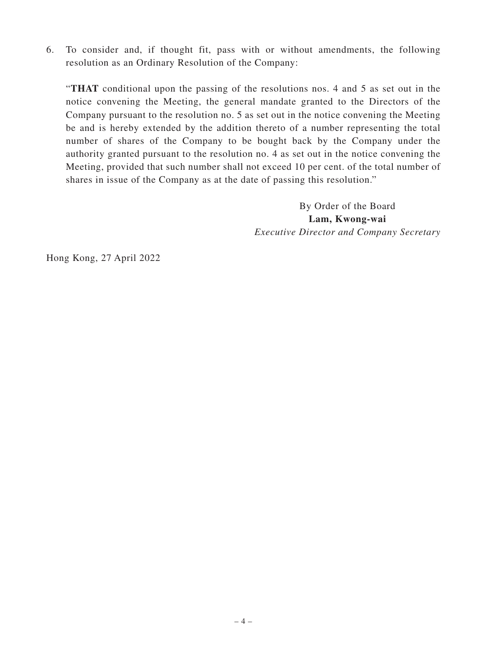6. To consider and, if thought fit, pass with or without amendments, the following resolution as an Ordinary Resolution of the Company:

"**THAT** conditional upon the passing of the resolutions nos. 4 and 5 as set out in the notice convening the Meeting, the general mandate granted to the Directors of the Company pursuant to the resolution no. 5 as set out in the notice convening the Meeting be and is hereby extended by the addition thereto of a number representing the total number of shares of the Company to be bought back by the Company under the authority granted pursuant to the resolution no. 4 as set out in the notice convening the Meeting, provided that such number shall not exceed 10 per cent. of the total number of shares in issue of the Company as at the date of passing this resolution."

> By Order of the Board **Lam, Kwong-wai** *Executive Director and Company Secretary*

Hong Kong, 27 April 2022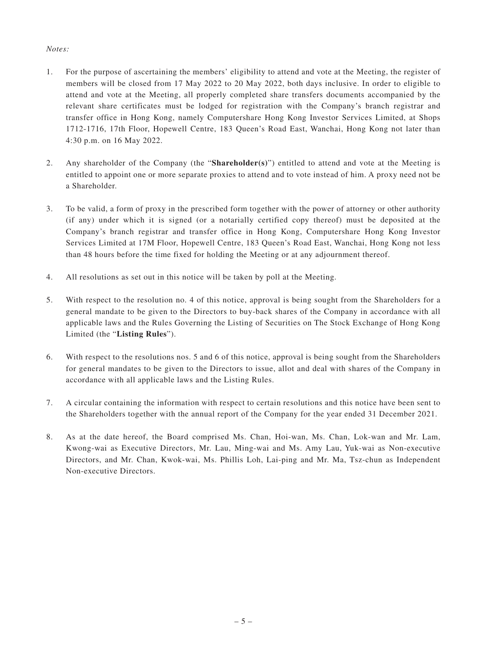#### *Notes:*

- 1. For the purpose of ascertaining the members' eligibility to attend and vote at the Meeting, the register of members will be closed from 17 May 2022 to 20 May 2022, both days inclusive. In order to eligible to attend and vote at the Meeting, all properly completed share transfers documents accompanied by the relevant share certificates must be lodged for registration with the Company's branch registrar and transfer office in Hong Kong, namely Computershare Hong Kong Investor Services Limited, at Shops 1712-1716, 17th Floor, Hopewell Centre, 183 Queen's Road East, Wanchai, Hong Kong not later than 4:30 p.m. on 16 May 2022.
- 2. Any shareholder of the Company (the "**Shareholder(s)**") entitled to attend and vote at the Meeting is entitled to appoint one or more separate proxies to attend and to vote instead of him. A proxy need not be a Shareholder.
- 3. To be valid, a form of proxy in the prescribed form together with the power of attorney or other authority (if any) under which it is signed (or a notarially certified copy thereof) must be deposited at the Company's branch registrar and transfer office in Hong Kong, Computershare Hong Kong Investor Services Limited at 17M Floor, Hopewell Centre, 183 Queen's Road East, Wanchai, Hong Kong not less than 48 hours before the time fixed for holding the Meeting or at any adjournment thereof.
- 4. All resolutions as set out in this notice will be taken by poll at the Meeting.
- 5. With respect to the resolution no. 4 of this notice, approval is being sought from the Shareholders for a general mandate to be given to the Directors to buy-back shares of the Company in accordance with all applicable laws and the Rules Governing the Listing of Securities on The Stock Exchange of Hong Kong Limited (the "**Listing Rules**").
- 6. With respect to the resolutions nos. 5 and 6 of this notice, approval is being sought from the Shareholders for general mandates to be given to the Directors to issue, allot and deal with shares of the Company in accordance with all applicable laws and the Listing Rules.
- 7. A circular containing the information with respect to certain resolutions and this notice have been sent to the Shareholders together with the annual report of the Company for the year ended 31 December 2021.
- 8. As at the date hereof, the Board comprised Ms. Chan, Hoi-wan, Ms. Chan, Lok-wan and Mr. Lam, Kwong-wai as Executive Directors, Mr. Lau, Ming-wai and Ms. Amy Lau, Yuk-wai as Non-executive Directors, and Mr. Chan, Kwok-wai, Ms. Phillis Loh, Lai-ping and Mr. Ma, Tsz-chun as Independent Non-executive Directors.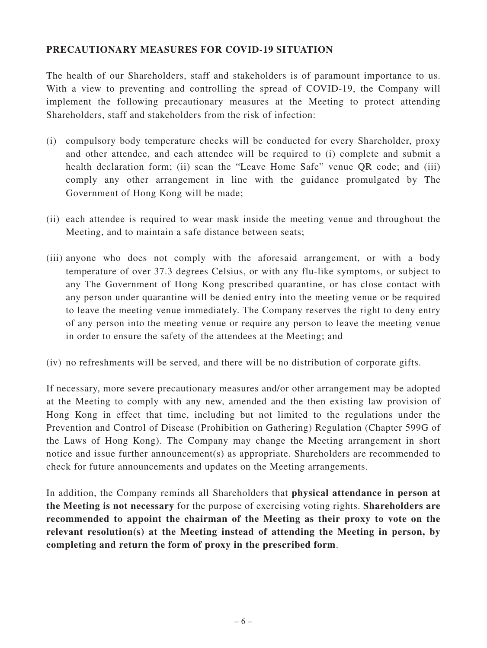#### **PRECAUTIONARY MEASURES FOR COVID-19 SITUATION**

The health of our Shareholders, staff and stakeholders is of paramount importance to us. With a view to preventing and controlling the spread of COVID-19, the Company will implement the following precautionary measures at the Meeting to protect attending Shareholders, staff and stakeholders from the risk of infection:

- (i) compulsory body temperature checks will be conducted for every Shareholder, proxy and other attendee, and each attendee will be required to (i) complete and submit a health declaration form; (ii) scan the "Leave Home Safe" venue OR code; and (iii) comply any other arrangement in line with the guidance promulgated by The Government of Hong Kong will be made;
- (ii) each attendee is required to wear mask inside the meeting venue and throughout the Meeting, and to maintain a safe distance between seats;
- (iii) anyone who does not comply with the aforesaid arrangement, or with a body temperature of over 37.3 degrees Celsius, or with any flu-like symptoms, or subject to any The Government of Hong Kong prescribed quarantine, or has close contact with any person under quarantine will be denied entry into the meeting venue or be required to leave the meeting venue immediately. The Company reserves the right to deny entry of any person into the meeting venue or require any person to leave the meeting venue in order to ensure the safety of the attendees at the Meeting; and
- (iv) no refreshments will be served, and there will be no distribution of corporate gifts.

If necessary, more severe precautionary measures and/or other arrangement may be adopted at the Meeting to comply with any new, amended and the then existing law provision of Hong Kong in effect that time, including but not limited to the regulations under the Prevention and Control of Disease (Prohibition on Gathering) Regulation (Chapter 599G of the Laws of Hong Kong). The Company may change the Meeting arrangement in short notice and issue further announcement(s) as appropriate. Shareholders are recommended to check for future announcements and updates on the Meeting arrangements.

In addition, the Company reminds all Shareholders that **physical attendance in person at the Meeting is not necessary** for the purpose of exercising voting rights. **Shareholders are recommended to appoint the chairman of the Meeting as their proxy to vote on the relevant resolution(s) at the Meeting instead of attending the Meeting in person, by completing and return the form of proxy in the prescribed form**.